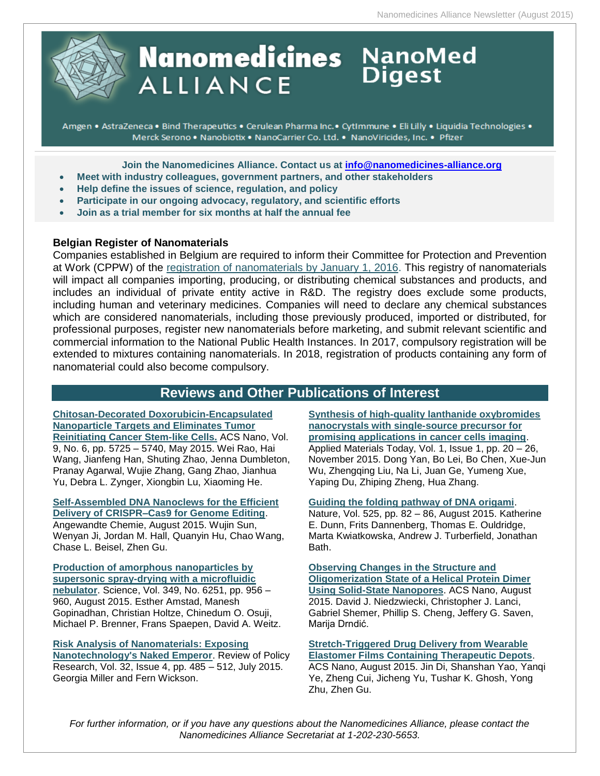

# **Nanomedicines** NanoMed **ALLIANCE**

Amgen • AstraZeneca • Bind Therapeutics • Cerulean Pharma Inc. • CytImmune • Eli Lilly • Liquidia Technologies • Merck Serono . Nanobiotix . NanoCarrier Co. Ltd. . NanoViricides, Inc. . Pfizer

**Join the Nanomedicines Alliance. Contact us at [info@nanomedicines-alliance.org](file:///C:/NRPortbl/ACTIVE/ROBERTAF/info@nanomedicines-alliance.org)**

- **Meet with industry colleagues, government partners, and other stakeholders**
- **Relp define the issues of science, regulation, and policy**
- **Participate in our ongoing advocacy, regulatory, and scientific efforts**
- **Join as a trial member for six months at half the annual fee**

### **Belgian Register of Nanomaterials**

Companies established in Belgium are required to inform their Committee for Protection and Prevention at Work (CPPW) of the [registration of nanomaterials by January 1, 2016.](http://www.health.belgium.be/eportal/Environment/Chemicalsubstances/Nanomaterials/Register/index.htm#.VgVcKJeEWVN) This registry of nanomaterials will impact all companies importing, producing, or distributing chemical substances and products, and includes an individual of private entity active in R&D. The registry does exclude some products, including human and veterinary medicines. Companies will need to declare any chemical substances which are considered nanomaterials, including those previously produced, imported or distributed, for professional purposes, register new nanomaterials before marketing, and submit relevant scientific and commercial information to the National Public Health Instances. In 2017, compulsory registration will be extended to mixtures containing nanomaterials. In 2018, registration of products containing any form of nanomaterial could also become compulsory.

### **Reviews and Other Publications of Interest**

**[Chitosan-Decorated Doxorubicin-Encapsulated](http://pubs.acs.org/doi/abs/10.1021/nn506928p)  [Nanoparticle Targets and Eliminates Tumor](http://pubs.acs.org/doi/abs/10.1021/nn506928p)  [Reinitiating Cancer Stem-like Cells.](http://pubs.acs.org/doi/abs/10.1021/nn506928p)** ACS Nano, Vol. 9, No. 6, pp. 5725 – 5740, May 2015. Wei Rao, Hai Wang, Jianfeng Han, Shuting Zhao, Jenna Dumbleton, Pranay Agarwal, Wujie Zhang, Gang Zhao, Jianhua Yu, Debra L. Zynger, Xiongbin Lu, Xiaoming He.

**[Self-Assembled DNA Nanoclews for the Efficient](http://onlinelibrary.wiley.com/doi/10.1002/anie.201506030/abstract;jsessionid=B4CC8A9DADAFD330349D26286747D98A.f04t03)  [Delivery of CRISPR–Cas9 for Genome Editing](http://onlinelibrary.wiley.com/doi/10.1002/anie.201506030/abstract;jsessionid=B4CC8A9DADAFD330349D26286747D98A.f04t03)**.

Angewandte Chemie, August 2015. Wujin Sun, Wenyan Ji, Jordan M. Hall, Quanyin Hu, Chao Wang, Chase L. Beisel, Zhen Gu.

**[Production of amorphous nanoparticles by](http://www.sciencemag.org/content/349/6251/956)  [supersonic spray-drying with a microfluidic](http://www.sciencemag.org/content/349/6251/956)  [nebulator](http://www.sciencemag.org/content/349/6251/956)**. Science, Vol. 349, No. 6251, pp. 956 – 960, August 2015. Esther Amstad, Manesh Gopinadhan, Christian Holtze, Chinedum O. Osuji, Michael P. Brenner, Frans Spaepen, David A. Weitz.

### **[Risk Analysis of Nanomaterials: Exposing](http://onlinelibrary.wiley.com/doi/10.1111/ropr.12129/abstract)**

**[Nanotechnology's Naked Emperor](http://onlinelibrary.wiley.com/doi/10.1111/ropr.12129/abstract)**. Review of Policy Research, Vol. 32, Issue 4, pp. 485 – 512, July 2015. Georgia Miller and Fern Wickson.

**[Synthesis of high-quality lanthanide oxybromides](http://www.sciencedirect.com/science/article/pii/S2352940715000025)  nanocrystals with [single-source precursor for](http://www.sciencedirect.com/science/article/pii/S2352940715000025)  [promising applications in cancer cells imaging](http://www.sciencedirect.com/science/article/pii/S2352940715000025)**. Applied Materials Today, Vol. 1, Issue 1, pp. 20 – 26, November 2015. Dong Yan, Bo Lei, Bo Chen, Xue-Jun Wu, Zhengqing Liu, Na Li, Juan Ge, Yumeng Xue, Yaping Du, Zhiping Zheng, Hua Zhang.

### **[Guiding the folding pathway of DNA origami](http://www.nature.com/nature/journal/v525/n7567/full/nature14860.html#close)**.

Nature, Vol. 525, pp. 82 – 86, August 2015. Katherine E. Dunn, Frits Dannenberg, Thomas E. Ouldridge, Marta Kwiatkowska, Andrew J. Turberfield, Jonathan Bath.

**[Observing Changes in the Structure and](http://pubs.acs.org/doi/abs/10.1021/acsnano.5b02714)  [Oligomerization State of a Helical Protein Dimer](http://pubs.acs.org/doi/abs/10.1021/acsnano.5b02714)  [Using Solid-State Nanopores](http://pubs.acs.org/doi/abs/10.1021/acsnano.5b02714)**. ACS Nano, August 2015. David J. Niedzwiecki, Christopher J. Lanci, Gabriel Shemer, Phillip S. Cheng, Jeffery G. Saven, Marija Drndić.

### **[Stretch-Triggered Drug Delivery from Wearable](http://pubs.acs.org/doi/abs/10.1021/acsnano.5b03975)  [Elastomer Films Containing Therapeutic Depots](http://pubs.acs.org/doi/abs/10.1021/acsnano.5b03975)**.

ACS Nano, August 2015. Jin Di, Shanshan Yao, Yanqi Ye, Zheng Cui, Jicheng Yu, Tushar K. Ghosh, Yong Zhu, Zhen Gu.

*For further information, or if you have any questions about the Nanomedicines Alliance, please contact the Nanomedicines Alliance Secretariat at 1-202-230-5653.*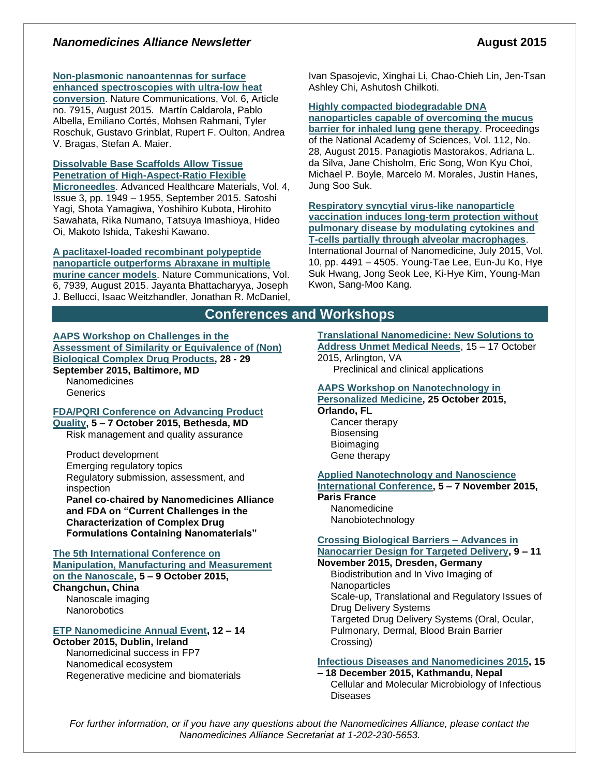### *Nanomedicines Alliance Newsletter* **<b>August** 2015

### **[Non-plasmonic nanoantennas for surface](http://www.nature.com/ncomms/2015/150804/ncomms8915/full/ncomms8915.html)**

**[enhanced spectroscopies with ultra-low heat](http://www.nature.com/ncomms/2015/150804/ncomms8915/full/ncomms8915.html)  [conversion](http://www.nature.com/ncomms/2015/150804/ncomms8915/full/ncomms8915.html)**. Nature Communications, Vol. 6, Article no. 7915, August 2015. Martín Caldarola, Pablo Albella, Emiliano Cortés, Mohsen Rahmani, Tyler Roschuk, Gustavo Grinblat, Rupert F. Oulton, Andrea V. Bragas, Stefan A. Maier.

#### **[Dissolvable Base Scaffolds Allow Tissue](http://onlinelibrary.wiley.com/doi/10.1002/adhm.201500305/abstract;jsessionid=55BB72F8B6F14F1560FF405476F187BC.f01t04)  [Penetration of High-Aspect-Ratio Flexible](http://onlinelibrary.wiley.com/doi/10.1002/adhm.201500305/abstract;jsessionid=55BB72F8B6F14F1560FF405476F187BC.f01t04)**

**[Microneedles](http://onlinelibrary.wiley.com/doi/10.1002/adhm.201500305/abstract;jsessionid=55BB72F8B6F14F1560FF405476F187BC.f01t04)**. Advanced Healthcare Materials, Vol. 4, Issue 3, pp. 1949 – 1955, September 2015. Satoshi Yagi, Shota Yamagiwa, Yoshihiro Kubota, Hirohito Sawahata, Rika Numano, Tatsuya Imashioya, Hideo Oi, Makoto Ishida, Takeshi Kawano.

#### **[A paclitaxel-loaded recombinant polypeptide](http://www.nature.com/ncomms/2015/150804/ncomms8939/full/ncomms8939.html)  [nanoparticle outperforms Abraxane in multiple](http://www.nature.com/ncomms/2015/150804/ncomms8939/full/ncomms8939.html)**

**[murine cancer models](http://www.nature.com/ncomms/2015/150804/ncomms8939/full/ncomms8939.html)**. Nature Communications, Vol. 6, 7939, August 2015. Jayanta Bhattacharyya, Joseph J. Bellucci, Isaac Weitzhandler, Jonathan R. McDaniel, Ivan Spasojevic, Xinghai Li, Chao-Chieh Lin, Jen-Tsan Ashley Chi, Ashutosh Chilkoti.

#### **[Highly compacted biodegradable DNA](http://www.pnas.org/content/112/28/8720)**

**[nanoparticles capable of overcoming the mucus](http://www.pnas.org/content/112/28/8720)  [barrier for inhaled lung gene therapy](http://www.pnas.org/content/112/28/8720)**. Proceedings of the National Academy of Sciences, Vol. 112, No. 28, August 2015. Panagiotis Mastorakos, Adriana L. da Silva, Jane Chisholm, Eric Song, Won Kyu Choi, Michael P. Boyle, Marcelo M. Morales, Justin Hanes, Jung Soo Suk.

**[Respiratory syncytial virus-like nanoparticle](https://www.dovepress.com/respiratory-syncytial-virus-like-nanoparticle-vaccination-induces-long-peer-reviewed-article-IJN)  [vaccination induces long-term](https://www.dovepress.com/respiratory-syncytial-virus-like-nanoparticle-vaccination-induces-long-peer-reviewed-article-IJN) protection without [pulmonary disease by modulating cytokines and](https://www.dovepress.com/respiratory-syncytial-virus-like-nanoparticle-vaccination-induces-long-peer-reviewed-article-IJN)  [T-cells partially through alveolar macrophages](https://www.dovepress.com/respiratory-syncytial-virus-like-nanoparticle-vaccination-induces-long-peer-reviewed-article-IJN)**. International Journal of Nanomedicine, July 2015, Vol. 10, pp. 4491 – 4505. Young-Tae Lee, Eun-Ju Ko, Hye Suk Hwang, Jong Seok Lee, Ki-Hye Kim, Young-Man Kwon, Sang-Moo Kang.

### **Conferences and Workshops**

#### **[AAPS Workshop on Challenges in the](http://www.aaps.org/CDP/)  [Assessment of Similarity or Equivalence of \(Non\)](http://www.aaps.org/CDP/)  [Biological Complex Drug Products,](http://www.aaps.org/CDP/) 28 - 29 September 2015, Baltimore, MD**

Nanomedicines **Generics** 

### **[FDA/PQRI Conference on Advancing Product](http://www.pqri.org/Preliminary%20Program.2nd%20FDA.PQRI%20Conference.pdf)**

**[Quality,](http://www.pqri.org/Preliminary%20Program.2nd%20FDA.PQRI%20Conference.pdf) 5 – 7 October 2015, Bethesda, MD** Risk management and quality assurance

Product development Emerging regulatory topics Regulatory submission, assessment, and inspection

**Panel co-chaired by Nanomedicines Alliance and FDA on "Current Challenges in the Characterization of Complex Drug Formulations Containing Nanomaterials"**

#### **[The 5th International Conference on](http://www.3m-nano.org/2015/main/index.asp)**

**[Manipulation, Manufacturing and Measurement](http://www.3m-nano.org/2015/main/index.asp)  [on the Nanoscale,](http://www.3m-nano.org/2015/main/index.asp) 5 – 9 October 2015, Changchun, China**

Nanoscale imaging **Nanorobotics** 

### **[ETP Nanomedicine Annual Event,](http://www.etp-nanomedicine.eu/public/news-events/events/etpn-annual-event-2015/etp-nanomedicine-annual-event-2015) 12 – 14**

**October 2015, Dublin, Ireland** Nanomedicinal success in FP7 Nanomedical ecosystem Regenerative medicine and biomaterials **[Translational Nanomedicine: New Solutions to](http://amsocnanomed.org/files/www/ASNM_Flyer_May_2015.pdf)  [Address Unmet Medical Needs](http://amsocnanomed.org/files/www/ASNM_Flyer_May_2015.pdf)**, 15 – 17 October

2015, Arlington, VA Preclinical and clinical applications

#### **[AAPS Workshop on Nanotechnology in](http://www.aaps.org/NPM/)  [Personalized Medicine,](http://www.aaps.org/NPM/) 25 October 2015,**

**Orlando, FL**

Cancer therapy Biosensing Bioimaging Gene therapy

### **[Applied Nanotechnology and Nanoscience](http://www.annic2015.org/)**

**[International Conference,](http://www.annic2015.org/) 5 – 7 November 2015,** 

#### **Paris France** Nanomedicine

Nanobiotechnology

#### **[Crossing Biological Barriers –](http://ec.europa.eu/research/index.cfm?pg=events&eventcode=9D4D1F8C-A9D2-D06C-2B60AA77AF593EB3) Advances in [Nanocarrier Design for Targeted Delivery,](http://ec.europa.eu/research/index.cfm?pg=events&eventcode=9D4D1F8C-A9D2-D06C-2B60AA77AF593EB3) 9 – 11**

### **November 2015, Dresden, Germany**

Biodistribution and In Vivo Imaging of **Nanoparticles** Scale-up, Translational and Regulatory Issues of Drug Delivery Systems Targeted Drug Delivery Systems (Oral, Ocular, Pulmonary, Dermal, Blood Brain Barrier Crossing)

#### **[Infectious Diseases and Nanomedicines 2015,](http://www.icidn2015.com/programs.php) 15**

#### **– 18 December 2015, Kathmandu, Nepal**

Cellular and Molecular Microbiology of Infectious Diseases

*For further information, or if you have any questions about the Nanomedicines Alliance, please contact the Nanomedicines Alliance Secretariat at 1-202-230-5653.*